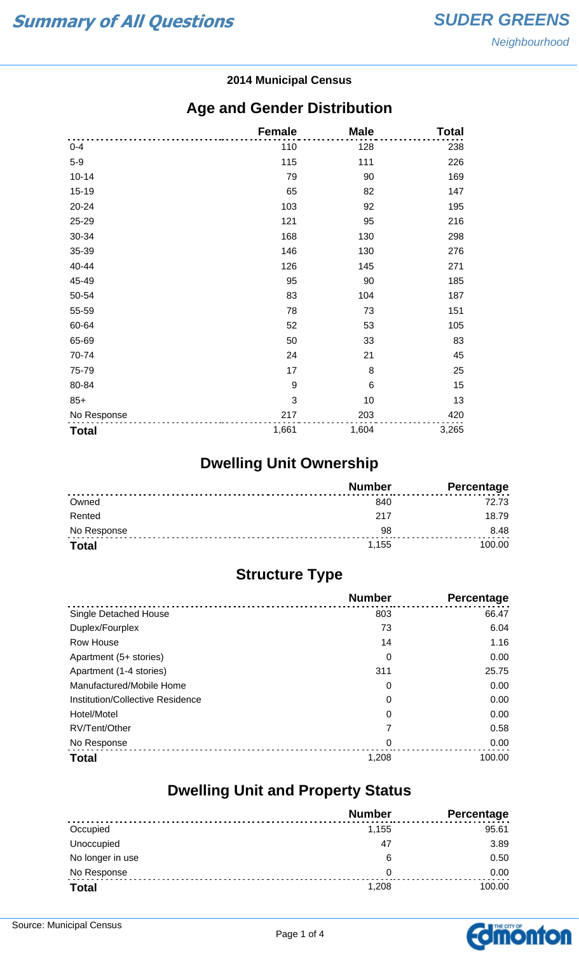#### **2014 Municipal Census**

#### **Age and Gender Distribution**

|              | <b>Female</b> | <b>Male</b> | <b>Total</b> |
|--------------|---------------|-------------|--------------|
| $0 - 4$      | 110           | 128         | 238          |
| $5-9$        | 115           | 111         | 226          |
| $10 - 14$    | 79            | 90          | 169          |
| $15 - 19$    | 65            | 82          | 147          |
| 20-24        | 103           | 92          | 195          |
| 25-29        | 121           | 95          | 216          |
| 30-34        | 168           | 130         | 298          |
| 35-39        | 146           | 130         | 276          |
| 40-44        | 126           | 145         | 271          |
| 45-49        | 95            | 90          | 185          |
| 50-54        | 83            | 104         | 187          |
| 55-59        | 78            | 73          | 151          |
| 60-64        | 52            | 53          | 105          |
| 65-69        | 50            | 33          | 83           |
| 70-74        | 24            | 21          | 45           |
| 75-79        | 17            | 8           | 25           |
| 80-84        | 9             | 6           | 15           |
| $85+$        | 3             | 10          | 13           |
| No Response  | 217           | 203         | 420          |
| <b>Total</b> | 1,661         | 1,604       | 3,265        |

## **Dwelling Unit Ownership**

|              | <b>Number</b> | <b>Percentage</b> |
|--------------|---------------|-------------------|
| Owned        | 840           | 72.73             |
| Rented       | -217          | 18.79             |
| No Response  | 98            | 8.48              |
| <b>Total</b> | 1.155         | 100.00            |

## **Structure Type**

|                                  | <b>Number</b> | Percentage |
|----------------------------------|---------------|------------|
| <b>Single Detached House</b>     | 803           | 66.47      |
| Duplex/Fourplex                  | 73            | 6.04       |
| Row House                        | 14            | 1.16       |
| Apartment (5+ stories)           | 0             | 0.00       |
| Apartment (1-4 stories)          | 311           | 25.75      |
| Manufactured/Mobile Home         | 0             | 0.00       |
| Institution/Collective Residence | 0             | 0.00       |
| Hotel/Motel                      | 0             | 0.00       |
| RV/Tent/Other                    | 7             | 0.58       |
| No Response                      | 0             | 0.00       |
| <b>Total</b>                     | 1,208         | 100.00     |

#### **Dwelling Unit and Property Status**

|                  | <b>Number</b> | <b>Percentage</b> |
|------------------|---------------|-------------------|
| Occupied         | 1,155         | 95.61             |
| Unoccupied       | 47            | 3.89              |
| No longer in use | 6             | 0.50              |
| No Response      | 0             | 0.00              |
| <b>Total</b>     | 1,208         | 100.00            |

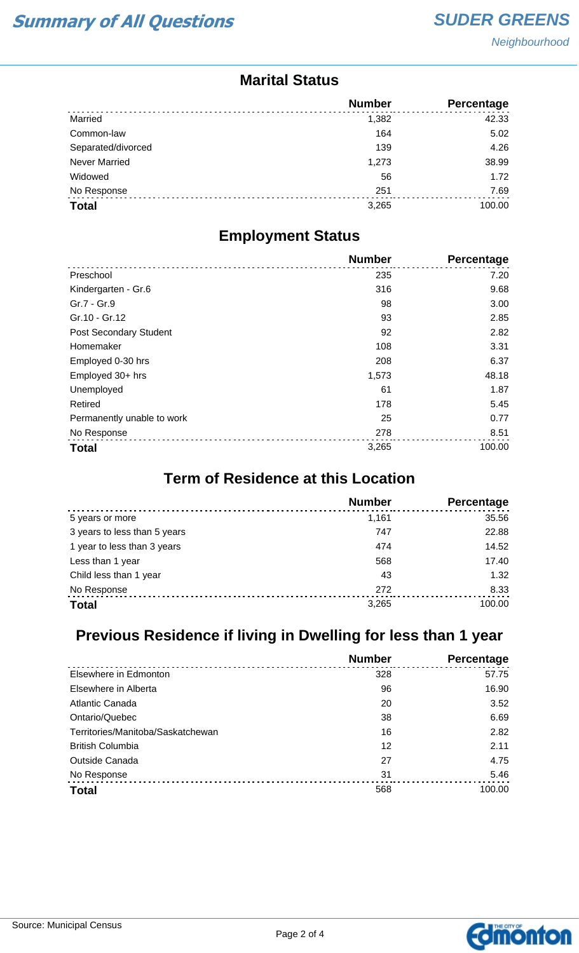#### **Marital Status**

|                      | <b>Number</b> | <b>Percentage</b> |
|----------------------|---------------|-------------------|
| Married              | 1,382         | 42.33             |
| Common-law           | 164           | 5.02              |
| Separated/divorced   | 139           | 4.26              |
| <b>Never Married</b> | 1,273         | 38.99             |
| Widowed              | 56            | 1.72              |
| No Response          | 251           | 7.69              |
| <b>Total</b>         | 3,265         | 100.00            |

#### **Employment Status**

|                            | <b>Number</b> | <b>Percentage</b> |
|----------------------------|---------------|-------------------|
| Preschool                  | 235           | 7.20              |
| Kindergarten - Gr.6        | 316           | 9.68              |
| Gr.7 - Gr.9                | 98            | 3.00              |
| Gr.10 - Gr.12              | 93            | 2.85              |
| Post Secondary Student     | 92            | 2.82              |
| Homemaker                  | 108           | 3.31              |
| Employed 0-30 hrs          | 208           | 6.37              |
| Employed 30+ hrs           | 1,573         | 48.18             |
| Unemployed                 | 61            | 1.87              |
| Retired                    | 178           | 5.45              |
| Permanently unable to work | 25            | 0.77              |
| No Response                | 278           | 8.51              |
| <b>Total</b>               | 3,265         | 100.00            |

## **Term of Residence at this Location**

|                              | <b>Number</b> | Percentage |
|------------------------------|---------------|------------|
| 5 years or more              | 1.161         | 35.56      |
| 3 years to less than 5 years | 747           | 22.88      |
| 1 year to less than 3 years  | 474           | 14.52      |
| Less than 1 year             | 568           | 17.40      |
| Child less than 1 year       | 43            | 1.32       |
| No Response                  | 272           | 8.33       |
| <b>Total</b>                 | 3,265         | 100.00     |

## **Previous Residence if living in Dwelling for less than 1 year**

|                                   | <b>Number</b> | Percentage |
|-----------------------------------|---------------|------------|
| Elsewhere in Edmonton             | 328           | 57.75      |
| Elsewhere in Alberta              | 96            | 16.90      |
| Atlantic Canada                   | 20            | 3.52       |
| Ontario/Quebec                    | 38            | 6.69       |
| Territories/Manitoba/Saskatchewan | 16            | 2.82       |
| <b>British Columbia</b>           | 12            | 2.11       |
| <b>Outside Canada</b>             | 27            | 4.75       |
| No Response                       | 31            | 5.46       |
| <b>Total</b>                      | 568           | 100.00     |

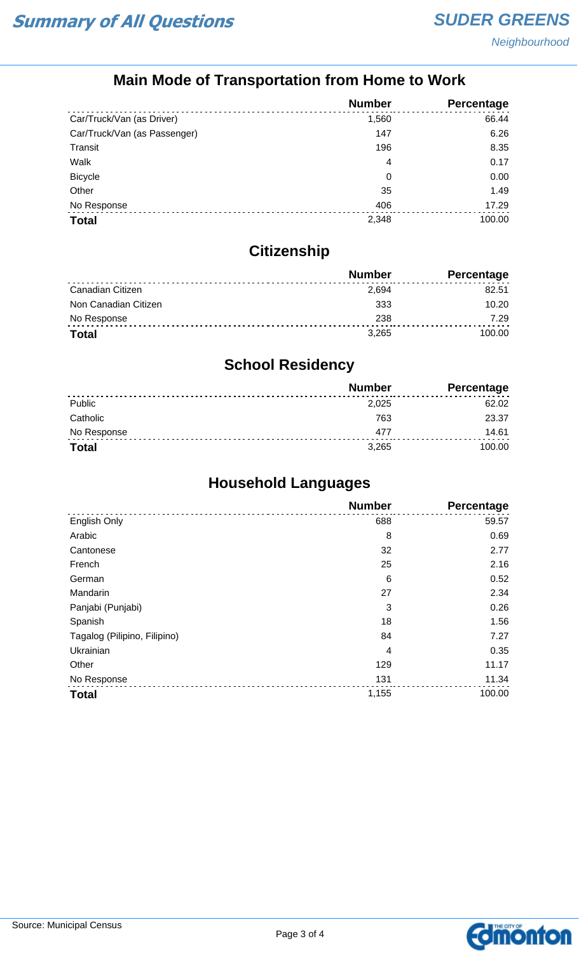## **Main Mode of Transportation from Home to Work**

|                              | <b>Number</b> | Percentage |
|------------------------------|---------------|------------|
| Car/Truck/Van (as Driver)    | 1,560         | 66.44      |
| Car/Truck/Van (as Passenger) | 147           | 6.26       |
| Transit                      | 196           | 8.35       |
| Walk                         | 4             | 0.17       |
| <b>Bicycle</b>               | 0             | 0.00       |
| Other                        | 35            | 1.49       |
| No Response                  | 406           | 17.29      |
| <b>Total</b>                 | 2,348         | 100.00     |

## **Citizenship**

|                      | <b>Number</b> | Percentage |
|----------------------|---------------|------------|
| Canadian Citizen     | 2.694         | 82.51      |
| Non Canadian Citizen | 333           | 10.20      |
| No Response          | 238           | 7.29       |
| <b>Total</b>         | 3.265         | 100.00     |

## **School Residency**

|              | <b>Number</b> | <b>Percentage</b> |
|--------------|---------------|-------------------|
| Public       | 2.025         | 62.02             |
| Catholic     | 763           | 23.37             |
| No Response  | 477           | 14.61             |
| <b>Total</b> | 3,265         | 100.00            |

## **Household Languages**

|                              | <b>Number</b> | <b>Percentage</b> |
|------------------------------|---------------|-------------------|
| English Only                 | 688           | 59.57             |
| Arabic                       | 8             | 0.69              |
| Cantonese                    | 32            | 2.77              |
| French                       | 25            | 2.16              |
| German                       | 6             | 0.52              |
| Mandarin                     | 27            | 2.34              |
| Panjabi (Punjabi)            | 3             | 0.26              |
| Spanish                      | 18            | 1.56              |
| Tagalog (Pilipino, Filipino) | 84            | 7.27              |
| Ukrainian                    | 4             | 0.35              |
| Other                        | 129           | 11.17             |
| No Response                  | 131           | 11.34             |
| <b>Total</b>                 | 1,155         | 100.00            |